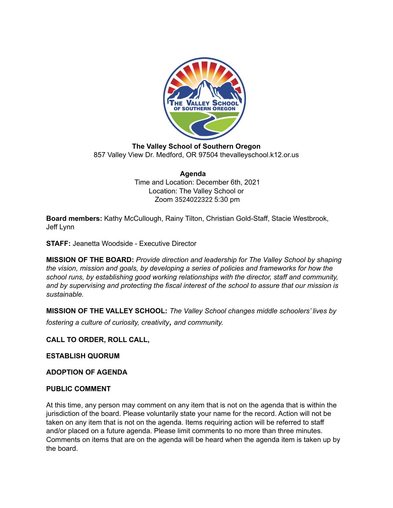

**The Valley School of Southern Oregon** 857 Valley View Dr. Medford, OR 97504 thevalleyschool.k12.or.us

> **Agenda** Time and Location: December 6th, 2021 Location: The Valley School or Zoom 3524022322 5:30 pm

**Board members:** Kathy McCullough, Rainy Tilton, Christian Gold-Staff, Stacie Westbrook, Jeff Lynn

**STAFF:** Jeanetta Woodside - Executive Director

**MISSION OF THE BOARD:** *Provide direction and leadership for The Valley School by shaping the vision, mission and goals, by developing a series of policies and frameworks for how the school runs, by establishing good working relationships with the director, staff and community, and by supervising and protecting the fiscal interest of the school to assure that our mission is sustainable.*

**MISSION OF THE VALLEY SCHOOL:** *The Valley School changes middle schoolers' lives by fostering <sup>a</sup> culture of curiosity, creativity, and community.*

**CALL TO ORDER, ROLL CALL,**

**ESTABLISH QUORUM**

**ADOPTION OF AGENDA**

#### **PUBLIC COMMENT**

At this time, any person may comment on any item that is not on the agenda that is within the jurisdiction of the board. Please voluntarily state your name for the record. Action will not be taken on any item that is not on the agenda. Items requiring action will be referred to staff and/or placed on a future agenda. Please limit comments to no more than three minutes. Comments on items that are on the agenda will be heard when the agenda item is taken up by the board.